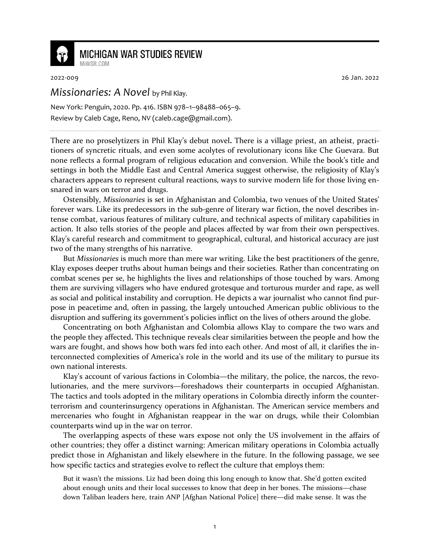

## **MICHIGAN WAR STUDIES REVIEW**

2022-009 26 Jan. 2022

## *Missionaries: A Novel* by Phil Klay.

MiWSR COM

New York: Penguin, 2020. Pp. 416. ISBN 978–1–98488–065–9. Review by Caleb Cage, Reno, NV (caleb.cage@gmail.com).

There are no proselytizers in Phil Klay's debut novel**.** There is a village priest, an atheist, practitioners of syncretic rituals, and even some acolytes of revolutionary icons like Che Guevara. But none reflects a formal program of religious education and conversion. While the book's title and settings in both the Middle East and Central America suggest otherwise, the religiosity of Klay's characters appears to represent cultural reactions, ways to survive modern life for those living ensnared in wars on terror and drugs.

Ostensibly, *Missionaries* is set in Afghanistan and Colombia, two venues of the United States' forever wars. Like its predecessors in the sub-genre of literary war fiction, the novel describes intense combat, various features of military culture, and technical aspects of military capabilities in action. It also tells stories of the people and places affected by war from their own perspectives. Klay's careful research and commitment to geographical, cultural, and historical accuracy are just two of the many strengths of his narrative.

But *Missionaries* is much more than mere war writing. Like the best practitioners of the genre, Klay exposes deeper truths about human beings and their societies. Rather than concentrating on combat scenes per se, he highlights the lives and relationships of those touched by wars. Among them are surviving villagers who have endured grotesque and torturous murder and rape, as well as social and political instability and corruption. He depicts a war journalist who cannot find purpose in peacetime and, often in passing, the largely untouched American public oblivious to the disruption and suffering its government's policies inflict on the lives of others around the globe.

Concentrating on both Afghanistan and Colombia allows Klay to compare the two wars and the people they affected**.** This technique reveals clear similarities between the people and how the wars are fought, and shows how both wars fed into each other. And most of all, it clarifies the interconnected complexities of America's role in the world and its use of the military to pursue its own national interests.

Klay's account of various factions in Colombia—the military, the police, the narcos, the revolutionaries, and the mere survivors—foreshadows their counterparts in occupied Afghanistan. The tactics and tools adopted in the military operations in Colombia directly inform the counterterrorism and counterinsurgency operations in Afghanistan. The American service members and mercenaries who fought in Afghanistan reappear in the war on drugs, while their Colombian counterparts wind up in the war on terror.

The overlapping aspects of these wars expose not only the US involvement in the affairs of other countries; they 0ffer a distinct warning: American military operations in Colombia actually predict those in Afghanistan and likely elsewhere in the future. In the following passage, we see how specific tactics and strategies evolve to reflect the culture that employs them:

But it wasn't the missions. Liz had been doing this long enough to know that. She'd gotten excited about enough units and their local successes to know that deep in her bones. The missions—chase down Taliban leaders here, train ANP [Afghan National Police] there—did make sense. It was the